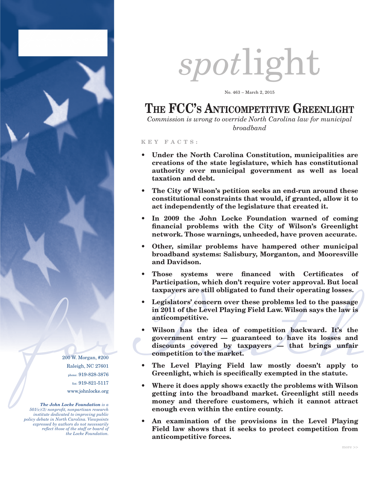

200 W. Morgan, #200 Raleigh, NC 27601 phone: 919-828-3876 fax: 919-821-5117 www.johnlocke.org

*The John Locke Foundation is a 501(c)(3) nonprofit, nonpartisan research institute dedicated to improving public policy debate in North Carolina. Viewpoints expressed by authors do not necessarily reflect those of the staff or board of the Locke Foundation.*

# *spot*light

No. 463 – March 2, 2015

## THE FCC'S ANTICOMPETITIVE GREENLIGHT

*Commission is wrong to override North Carolina law for municipal broadband*

#### **K E Y F A C T S :**

- **• Under the North Carolina Constitution, municipalities are creations of the state legislature, which has constitutional authority over municipal government as well as local taxation and debt.**
- **• The City of Wilson's petition seeks an end-run around these constitutional constraints that would, if granted, allow it to act independently of the legislature that created it.**
- **• In 2009 the John Locke Foundation warned of coming financial problems with the City of Wilson's Greenlight network. Those warnings, unheeded, have proven accurate.**
- **• Other, similar problems have hampered other municipal broadband systems: Salisbury, Morganton, and Mooresville and Davidson.**
- **• Those systems were financed with Certificates of Participation, which don't require voter approval. But local taxpayers are still obligated to fund their operating losses.**
- **• Legislators' concern over these problems led to the passage in 2011 of the Level Playing Field Law. Wilson says the law is anticompetitive.**
- $\frac{\text{in } 2011 \text{ of the Level Playing Field Law. Wilson says the law is  
anticompetitive.}}{\text{Wilson has the idea of competition backward. It's the  
government entry guaranteed to have its losses and  
discounts covered by taxpayers that brings unfair  
 competition to the market.}  
\nRaleigh, NC 27601  
\nRaleigh, NC 27601  
\nRaleigh, NC 27601  
\nRaleigh, NC 27601  
\nRaleigh, NC 27601  
\nMhames 919-821-5117  
\nMhames 199-821-5117$ **• Wilson has the idea of competition backward. It's the government entry — guaranteed to have its losses and discounts covered by taxpayers — that brings unfair competition to the market.**
	- **• The Level Playing Field law mostly doesn't apply to Greenlight, which is specifically exempted in the statute.**
	- **• Where it does apply shows exactly the problems with Wilson getting into the broadband market. Greenlight still needs money and therefore customers, which it cannot attract enough even within the entire county.**
	- **• An examination of the provisions in the Level Playing Field law shows that it seeks to protect competition from anticompetitive forces.**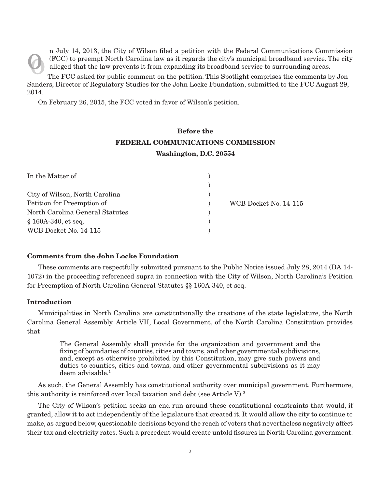n July 14, 2013, the City of Wilson filed a petition with the Federal Communications Commission<br>(FCC) to preempt North Carolina law as it regards the city's municipal broadband service. The city<br>alleged that the law preven (FCC) to preempt North Carolina law as it regards the city's municipal broadband service. The city alleged that the law prevents it from expanding its broadband service to surrounding areas.

o The FCC asked for public comment on the petition. This Spotlight comprises the comments by Jon Sanders, Director of Regulatory Studies for the John Locke Foundation, submitted to the FCC August 29, 2014.

On February 26, 2015, the FCC voted in favor of Wilson's petition.

### **Before the FEDERAL COMMUNICATIONS COMMISSION Washington, D.C. 20554**

| In the Matter of                |                       |
|---------------------------------|-----------------------|
|                                 |                       |
| City of Wilson, North Carolina  |                       |
| Petition for Preemption of      | WCB Docket No. 14-115 |
| North Carolina General Statutes |                       |
| $$160A-340$ , et seq.           |                       |
| WCB Docket No. 14-115           |                       |

#### **Comments from the John Locke Foundation**

These comments are respectfully submitted pursuant to the Public Notice issued July 28, 2014 (DA 14- 1072) in the proceeding referenced supra in connection with the City of Wilson, North Carolina's Petition for Preemption of North Carolina General Statutes §§ 160A-340, et seq.

#### **Introduction**

Municipalities in North Carolina are constitutionally the creations of the state legislature, the North Carolina General Assembly. Article VII, Local Government, of the North Carolina Constitution provides that

The General Assembly shall provide for the organization and government and the fixing of boundaries of counties, cities and towns, and other governmental subdivisions, and, except as otherwise prohibited by this Constitution, may give such powers and duties to counties, cities and towns, and other governmental subdivisions as it may deem advisable.<sup>1</sup>

As such, the General Assembly has constitutional authority over municipal government. Furthermore, this authority is reinforced over local taxation and debt (see Article V).<sup>2</sup>

The City of Wilson's petition seeks an end-run around these constitutional constraints that would, if granted, allow it to act independently of the legislature that created it. It would allow the city to continue to make, as argued below, questionable decisions beyond the reach of voters that nevertheless negatively affect their tax and electricity rates. Such a precedent would create untold fissures in North Carolina government.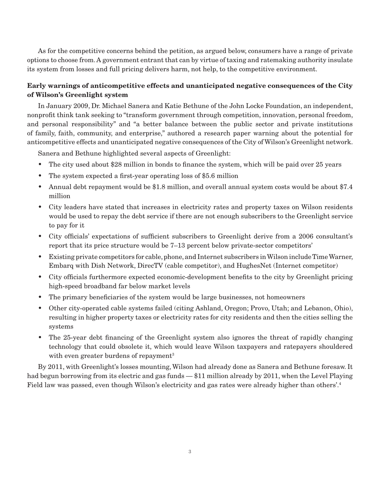As for the competitive concerns behind the petition, as argued below, consumers have a range of private options to choose from. A government entrant that can by virtue of taxing and ratemaking authority insulate its system from losses and full pricing delivers harm, not help, to the competitive environment.

#### **Early warnings of anticompetitive effects and unanticipated negative consequences of the City of Wilson's Greenlight system**

In January 2009, Dr. Michael Sanera and Katie Bethune of the John Locke Foundation, an independent, nonprofit think tank seeking to "transform government through competition, innovation, personal freedom, and personal responsibility" and "a better balance between the public sector and private institutions of family, faith, community, and enterprise," authored a research paper warning about the potential for anticompetitive effects and unanticipated negative consequences of the City of Wilson's Greenlight network.

Sanera and Bethune highlighted several aspects of Greenlight:

- The city used about \$28 million in bonds to finance the system, which will be paid over 25 years
- The system expected a first-year operating loss of \$5.6 million
- Annual debt repayment would be \$1.8 million, and overall annual system costs would be about \$7.4 million
- City leaders have stated that increases in electricity rates and property taxes on Wilson residents would be used to repay the debt service if there are not enough subscribers to the Greenlight service to pay for it
- City officials' expectations of sufficient subscribers to Greenlight derive from a 2006 consultant's report that its price structure would be 7–13 percent below private-sector competitors'
- Existing private competitors for cable, phone, and Internet subscribers in Wilson include Time Warner, Embarq with Dish Network, DirecTV (cable competitor), and HughesNet (Internet competitor)
- City officials furthermore expected economic-development benefits to the city by Greenlight pricing high-speed broadband far below market levels
- The primary beneficiaries of the system would be large businesses, not homeowners
- Other city-operated cable systems failed (citing Ashland, Oregon; Provo, Utah; and Lebanon, Ohio), resulting in higher property taxes or electricity rates for city residents and then the cities selling the systems
- The 25-year debt financing of the Greenlight system also ignores the threat of rapidly changing technology that could obsolete it, which would leave Wilson taxpayers and ratepayers shouldered with even greater burdens of repayment<sup>3</sup>

By 2011, with Greenlight's losses mounting, Wilson had already done as Sanera and Bethune foresaw. It had begun borrowing from its electric and gas funds  $-\$11$  million already by 2011, when the Level Playing Field law was passed, even though Wilson's electricity and gas rates were already higher than others'.<sup>4</sup>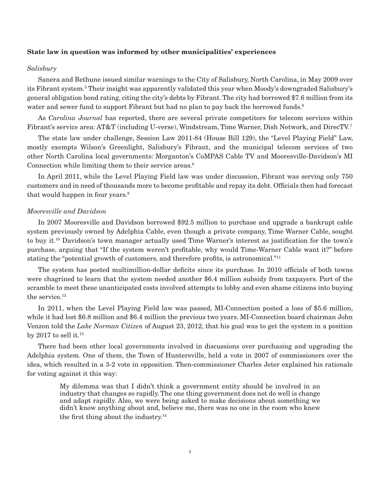#### **State law in question was informed by other municipalities' experiences**

#### *Salisbury*

Sanera and Bethune issued similar warnings to the City of Salisbury, North Carolina, in May 2009 over its Fibrant system.<sup>5</sup> Their insight was apparently validated this year when Moody's downgraded Salisbury's general obligation bond rating, citing the city's debts by Fibrant. The city had borrowed \$7.6 million from its water and sewer fund to support Fibrant but had no plan to pay back the borrowed funds.<sup>6</sup>

As *Carolina Journal* has reported, there are several private competitors for telecom services within Fibrant's service area: AT&T (including U-verse), Windstream, Time Warner, Dish Network, and DirecTV.7

The state law under challenge, Session Law 2011-84 (House Bill 129), the "Level Playing Field" Law, mostly exempts Wilson's Greenlight, Salisbury's Fibrant, and the municipal telecom services of two other North Carolina local governments: Morganton's CoMPAS Cable TV and Mooresville-Davidson's MI Connection while limiting them to their service areas.<sup>8</sup>

In April 2011, while the Level Playing Field law was under discussion, Fibrant was serving only 750 customers and in need of thousands more to become profitable and repay its debt. Officials then had forecast that would happen in four years.9

#### *Mooresville and Davidson*

In 2007 Mooresville and Davidson borrowed \$92.5 million to purchase and upgrade a bankrupt cable system previously owned by Adelphia Cable, even though a private company, Time Warner Cable, sought to buy it.10 Davidson's town manager actually used Time Warner's interest as justification for the town's purchase, arguing that "If the system weren't profitable, why would Time-Warner Cable want it?" before stating the "potential growth of customers, and therefore profits, is astronomical."11

The system has posted multimillion-dollar deficits since its purchase. In 2010 officials of both towns were chagrined to learn that the system needed another \$6.4 million subsidy from taxpayers. Part of the scramble to meet these unanticipated costs involved attempts to lobby and even shame citizens into buying the service.<sup>12</sup>

In 2011, when the Level Playing Field law was passed, MI-Connection posted a loss of \$5.6 million, while it had lost \$6.8 million and \$6.4 million the previous two years. MI-Connection board chairman John Venzon told the *Lake Norman Citizen* of August 23, 2012, that his goal was to get the system in a position by 2017 to sell it.<sup>13</sup>

There had been other local governments involved in discussions over purchasing and upgrading the Adelphia system. One of them, the Town of Huntersville, held a vote in 2007 of commissioners over the idea, which resulted in a 3-2 vote in opposition. Then-commissioner Charles Jeter explained his rationale for voting against it this way:

My dilemma was that I didn't think a government entity should be involved in an industry that changes so rapidly. The one thing government does not do well is change and adapt rapidly. Also, we were being asked to make decisions about something we didn't know anything about and, believe me, there was no one in the room who knew the first thing about the industry.14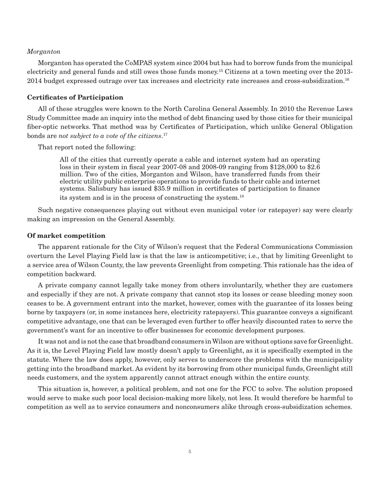#### *Morganton*

Morganton has operated the CoMPAS system since 2004 but has had to borrow funds from the municipal electricity and general funds and still owes those funds money.15 Citizens at a town meeting over the 2013- 2014 budget expressed outrage over tax increases and electricity rate increases and cross-subsidization.16

#### **Certificates of Participation**

All of these struggles were known to the North Carolina General Assembly. In 2010 the Revenue Laws Study Committee made an inquiry into the method of debt financing used by those cities for their municipal fiber-optic networks. That method was by Certificates of Participation, which unlike General Obligation bonds are *not subject to a vote of the citizens*. 17

That report noted the following:

All of the cities that currently operate a cable and internet system had an operating loss in their system in fiscal year 2007-08 and 2008-09 ranging from \$128,000 to \$2.6 million. Two of the cities, Morganton and Wilson, have transferred funds from their electric utility public enterprise operations to provide funds to their cable and internet systems. Salisbury has issued \$35.9 million in certificates of participation to finance its system and is in the process of constructing the system.18

Such negative consequences playing out without even municipal voter (or ratepayer) say were clearly making an impression on the General Assembly.

#### **Of market competition**

The apparent rationale for the City of Wilson's request that the Federal Communications Commission overturn the Level Playing Field law is that the law is anticompetitive; i.e., that by limiting Greenlight to a service area of Wilson County, the law prevents Greenlight from competing. This rationale has the idea of competition backward.

A private company cannot legally take money from others involuntarily, whether they are customers and especially if they are not. A private company that cannot stop its losses or cease bleeding money soon ceases to be. A government entrant into the market, however, comes with the guarantee of its losses being borne by taxpayers (or, in some instances here, electricity ratepayers). This guarantee conveys a significant competitive advantage, one that can be leveraged even further to offer heavily discounted rates to serve the government's want for an incentive to offer businesses for economic development purposes.

It was not and is not the case that broadband consumers in Wilson are without options save for Greenlight. As it is, the Level Playing Field law mostly doesn't apply to Greenlight, as it is specifically exempted in the statute. Where the law does apply, however, only serves to underscore the problems with the municipality getting into the broadband market. As evident by its borrowing from other municipal funds, Greenlight still needs customers, and the system apparently cannot attract enough within the entire county.

This situation is, however, a political problem, and not one for the FCC to solve. The solution proposed would serve to make such poor local decision-making more likely, not less. It would therefore be harmful to competition as well as to service consumers and nonconsumers alike through cross-subsidization schemes.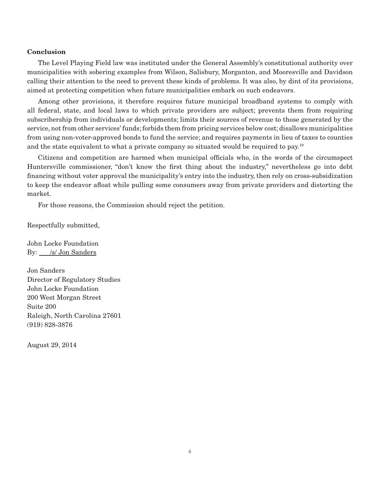#### **Conclusion**

The Level Playing Field law was instituted under the General Assembly's constitutional authority over municipalities with sobering examples from Wilson, Salisbury, Morganton, and Mooresville and Davidson calling their attention to the need to prevent these kinds of problems. It was also, by dint of its provisions, aimed at protecting competition when future municipalities embark on such endeavors.

Among other provisions, it therefore requires future municipal broadband systems to comply with all federal, state, and local laws to which private providers are subject; prevents them from requiring subscribership from individuals or developments; limits their sources of revenue to those generated by the service, not from other services' funds; forbids them from pricing services below cost; disallows municipalities from using non-voter-approved bonds to fund the service; and requires payments in lieu of taxes to counties and the state equivalent to what a private company so situated would be required to pay.19

Citizens and competition are harmed when municipal officials who, in the words of the circumspect Huntersville commissioner, "don't know the first thing about the industry," nevertheless go into debt financing without voter approval the municipality's entry into the industry, then rely on cross-subsidization to keep the endeavor afloat while pulling some consumers away from private providers and distorting the market.

For those reasons, the Commission should reject the petition.

Respectfully submitted,

John Locke Foundation By: /s/ Jon Sanders

Jon Sanders Director of Regulatory Studies John Locke Foundation 200 West Morgan Street Suite 200 Raleigh, North Carolina 27601 (919) 828-3876

August 29, 2014